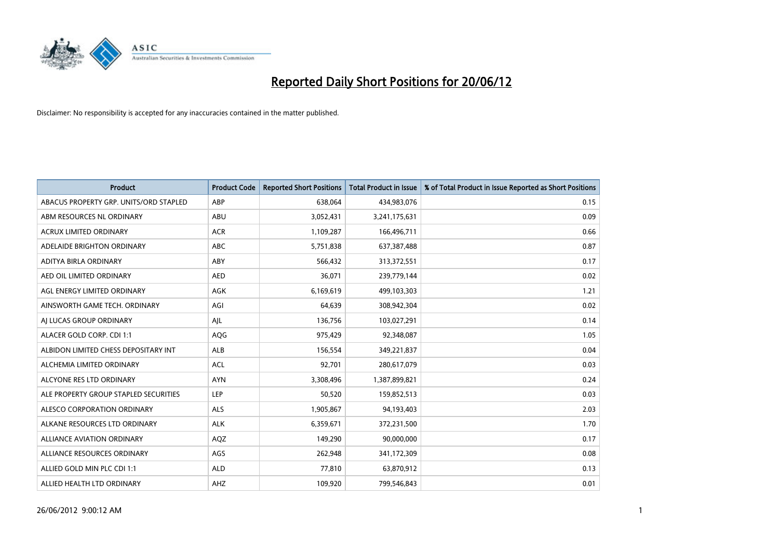

| <b>Product</b>                         | <b>Product Code</b> | <b>Reported Short Positions</b> | <b>Total Product in Issue</b> | % of Total Product in Issue Reported as Short Positions |
|----------------------------------------|---------------------|---------------------------------|-------------------------------|---------------------------------------------------------|
| ABACUS PROPERTY GRP. UNITS/ORD STAPLED | ABP                 | 638,064                         | 434,983,076                   | 0.15                                                    |
| ABM RESOURCES NL ORDINARY              | ABU                 | 3,052,431                       | 3,241,175,631                 | 0.09                                                    |
| <b>ACRUX LIMITED ORDINARY</b>          | <b>ACR</b>          | 1,109,287                       | 166,496,711                   | 0.66                                                    |
| ADELAIDE BRIGHTON ORDINARY             | <b>ABC</b>          | 5,751,838                       | 637,387,488                   | 0.87                                                    |
| ADITYA BIRLA ORDINARY                  | ABY                 | 566,432                         | 313,372,551                   | 0.17                                                    |
| AED OIL LIMITED ORDINARY               | <b>AED</b>          | 36,071                          | 239,779,144                   | 0.02                                                    |
| AGL ENERGY LIMITED ORDINARY            | AGK                 | 6,169,619                       | 499,103,303                   | 1.21                                                    |
| AINSWORTH GAME TECH. ORDINARY          | AGI                 | 64,639                          | 308,942,304                   | 0.02                                                    |
| AI LUCAS GROUP ORDINARY                | AJL                 | 136,756                         | 103,027,291                   | 0.14                                                    |
| ALACER GOLD CORP. CDI 1:1              | AQG                 | 975,429                         | 92,348,087                    | 1.05                                                    |
| ALBIDON LIMITED CHESS DEPOSITARY INT   | ALB                 | 156,554                         | 349,221,837                   | 0.04                                                    |
| ALCHEMIA LIMITED ORDINARY              | <b>ACL</b>          | 92,701                          | 280,617,079                   | 0.03                                                    |
| ALCYONE RES LTD ORDINARY               | <b>AYN</b>          | 3,308,496                       | 1,387,899,821                 | 0.24                                                    |
| ALE PROPERTY GROUP STAPLED SECURITIES  | LEP                 | 50,520                          | 159,852,513                   | 0.03                                                    |
| ALESCO CORPORATION ORDINARY            | <b>ALS</b>          | 1,905,867                       | 94,193,403                    | 2.03                                                    |
| ALKANE RESOURCES LTD ORDINARY          | <b>ALK</b>          | 6,359,671                       | 372,231,500                   | 1.70                                                    |
| ALLIANCE AVIATION ORDINARY             | AQZ                 | 149,290                         | 90,000,000                    | 0.17                                                    |
| ALLIANCE RESOURCES ORDINARY            | AGS                 | 262,948                         | 341,172,309                   | 0.08                                                    |
| ALLIED GOLD MIN PLC CDI 1:1            | <b>ALD</b>          | 77,810                          | 63,870,912                    | 0.13                                                    |
| ALLIED HEALTH LTD ORDINARY             | AHZ                 | 109,920                         | 799,546,843                   | 0.01                                                    |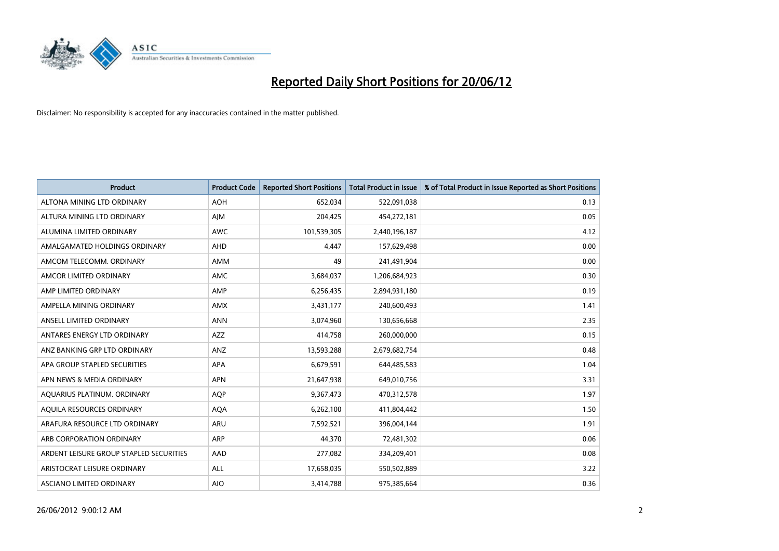

| <b>Product</b>                          | <b>Product Code</b> | <b>Reported Short Positions</b> | <b>Total Product in Issue</b> | % of Total Product in Issue Reported as Short Positions |
|-----------------------------------------|---------------------|---------------------------------|-------------------------------|---------------------------------------------------------|
| ALTONA MINING LTD ORDINARY              | <b>AOH</b>          | 652,034                         | 522,091,038                   | 0.13                                                    |
| ALTURA MINING LTD ORDINARY              | AJM                 | 204,425                         | 454,272,181                   | 0.05                                                    |
| ALUMINA LIMITED ORDINARY                | <b>AWC</b>          | 101,539,305                     | 2,440,196,187                 | 4.12                                                    |
| AMALGAMATED HOLDINGS ORDINARY           | <b>AHD</b>          | 4,447                           | 157,629,498                   | 0.00                                                    |
| AMCOM TELECOMM, ORDINARY                | AMM                 | 49                              | 241,491,904                   | 0.00                                                    |
| AMCOR LIMITED ORDINARY                  | <b>AMC</b>          | 3,684,037                       | 1,206,684,923                 | 0.30                                                    |
| AMP LIMITED ORDINARY                    | AMP                 | 6,256,435                       | 2,894,931,180                 | 0.19                                                    |
| AMPELLA MINING ORDINARY                 | AMX                 | 3,431,177                       | 240,600,493                   | 1.41                                                    |
| ANSELL LIMITED ORDINARY                 | <b>ANN</b>          | 3,074,960                       | 130,656,668                   | 2.35                                                    |
| ANTARES ENERGY LTD ORDINARY             | AZZ                 | 414,758                         | 260,000,000                   | 0.15                                                    |
| ANZ BANKING GRP LTD ORDINARY            | ANZ                 | 13,593,288                      | 2,679,682,754                 | 0.48                                                    |
| APA GROUP STAPLED SECURITIES            | APA                 | 6,679,591                       | 644,485,583                   | 1.04                                                    |
| APN NEWS & MEDIA ORDINARY               | <b>APN</b>          | 21,647,938                      | 649,010,756                   | 3.31                                                    |
| AQUARIUS PLATINUM. ORDINARY             | <b>AOP</b>          | 9,367,473                       | 470,312,578                   | 1.97                                                    |
| AQUILA RESOURCES ORDINARY               | <b>AQA</b>          | 6,262,100                       | 411,804,442                   | 1.50                                                    |
| ARAFURA RESOURCE LTD ORDINARY           | ARU                 | 7,592,521                       | 396,004,144                   | 1.91                                                    |
| ARB CORPORATION ORDINARY                | ARP                 | 44,370                          | 72,481,302                    | 0.06                                                    |
| ARDENT LEISURE GROUP STAPLED SECURITIES | AAD                 | 277,082                         | 334,209,401                   | 0.08                                                    |
| ARISTOCRAT LEISURE ORDINARY             | ALL                 | 17,658,035                      | 550,502,889                   | 3.22                                                    |
| ASCIANO LIMITED ORDINARY                | <b>AIO</b>          | 3,414,788                       | 975,385,664                   | 0.36                                                    |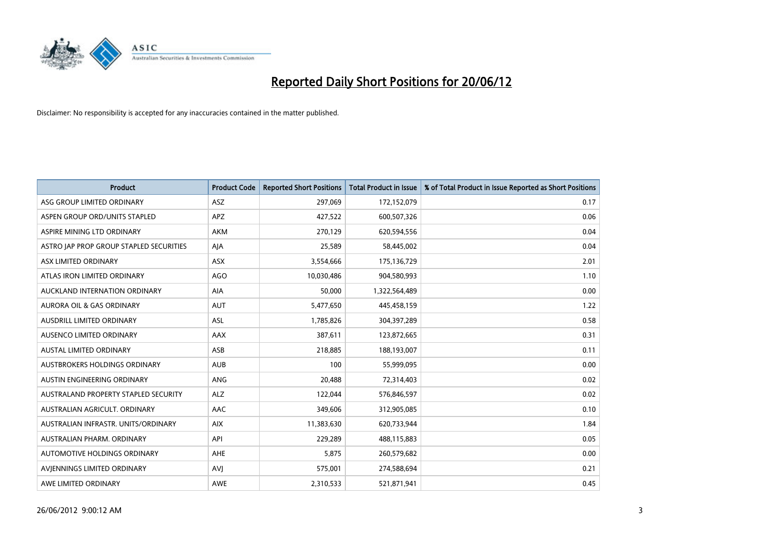

| <b>Product</b>                          | <b>Product Code</b> | <b>Reported Short Positions</b> | <b>Total Product in Issue</b> | % of Total Product in Issue Reported as Short Positions |
|-----------------------------------------|---------------------|---------------------------------|-------------------------------|---------------------------------------------------------|
| ASG GROUP LIMITED ORDINARY              | ASZ                 | 297,069                         | 172,152,079                   | 0.17                                                    |
| ASPEN GROUP ORD/UNITS STAPLED           | <b>APZ</b>          | 427,522                         | 600,507,326                   | 0.06                                                    |
| ASPIRE MINING LTD ORDINARY              | <b>AKM</b>          | 270,129                         | 620,594,556                   | 0.04                                                    |
| ASTRO JAP PROP GROUP STAPLED SECURITIES | AJA                 | 25,589                          | 58,445,002                    | 0.04                                                    |
| ASX LIMITED ORDINARY                    | ASX                 | 3,554,666                       | 175,136,729                   | 2.01                                                    |
| ATLAS IRON LIMITED ORDINARY             | <b>AGO</b>          | 10,030,486                      | 904,580,993                   | 1.10                                                    |
| AUCKLAND INTERNATION ORDINARY           | AIA                 | 50,000                          | 1,322,564,489                 | 0.00                                                    |
| AURORA OIL & GAS ORDINARY               | AUT                 | 5,477,650                       | 445,458,159                   | 1.22                                                    |
| AUSDRILL LIMITED ORDINARY               | ASL                 | 1,785,826                       | 304,397,289                   | 0.58                                                    |
| AUSENCO LIMITED ORDINARY                | <b>AAX</b>          | 387,611                         | 123,872,665                   | 0.31                                                    |
| <b>AUSTAL LIMITED ORDINARY</b>          | ASB                 | 218,885                         | 188,193,007                   | 0.11                                                    |
| AUSTBROKERS HOLDINGS ORDINARY           | <b>AUB</b>          | 100                             | 55,999,095                    | 0.00                                                    |
| AUSTIN ENGINEERING ORDINARY             | ANG                 | 20,488                          | 72,314,403                    | 0.02                                                    |
| AUSTRALAND PROPERTY STAPLED SECURITY    | <b>ALZ</b>          | 122,044                         | 576,846,597                   | 0.02                                                    |
| AUSTRALIAN AGRICULT, ORDINARY           | AAC                 | 349,606                         | 312,905,085                   | 0.10                                                    |
| AUSTRALIAN INFRASTR, UNITS/ORDINARY     | <b>AIX</b>          | 11,383,630                      | 620,733,944                   | 1.84                                                    |
| AUSTRALIAN PHARM, ORDINARY              | API                 | 229,289                         | 488,115,883                   | 0.05                                                    |
| AUTOMOTIVE HOLDINGS ORDINARY            | AHE                 | 5,875                           | 260,579,682                   | 0.00                                                    |
| AVIENNINGS LIMITED ORDINARY             | <b>AVI</b>          | 575,001                         | 274,588,694                   | 0.21                                                    |
| AWE LIMITED ORDINARY                    | <b>AWE</b>          | 2,310,533                       | 521,871,941                   | 0.45                                                    |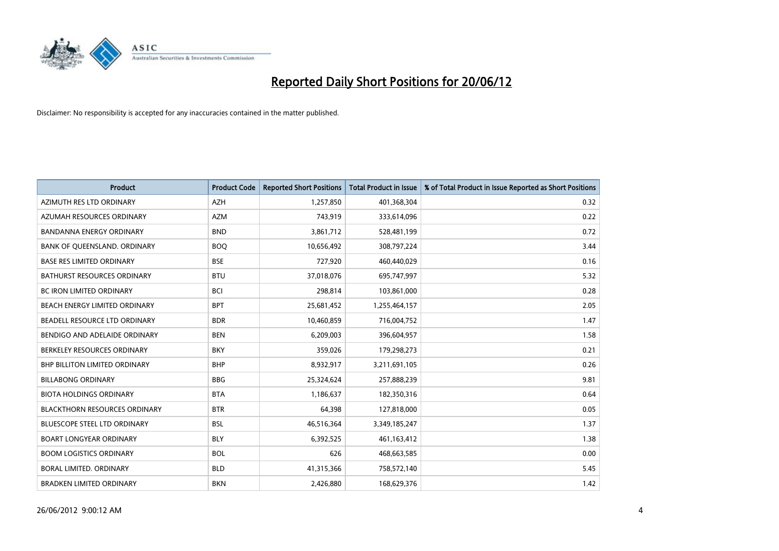

| <b>Product</b>                       | <b>Product Code</b> | <b>Reported Short Positions</b> | <b>Total Product in Issue</b> | % of Total Product in Issue Reported as Short Positions |
|--------------------------------------|---------------------|---------------------------------|-------------------------------|---------------------------------------------------------|
| AZIMUTH RES LTD ORDINARY             | <b>AZH</b>          | 1,257,850                       | 401,368,304                   | 0.32                                                    |
| AZUMAH RESOURCES ORDINARY            | <b>AZM</b>          | 743,919                         | 333,614,096                   | 0.22                                                    |
| <b>BANDANNA ENERGY ORDINARY</b>      | <b>BND</b>          | 3,861,712                       | 528,481,199                   | 0.72                                                    |
| BANK OF QUEENSLAND. ORDINARY         | <b>BOO</b>          | 10,656,492                      | 308,797,224                   | 3.44                                                    |
| <b>BASE RES LIMITED ORDINARY</b>     | <b>BSE</b>          | 727,920                         | 460,440,029                   | 0.16                                                    |
| <b>BATHURST RESOURCES ORDINARY</b>   | <b>BTU</b>          | 37,018,076                      | 695,747,997                   | 5.32                                                    |
| <b>BC IRON LIMITED ORDINARY</b>      | <b>BCI</b>          | 298,814                         | 103,861,000                   | 0.28                                                    |
| BEACH ENERGY LIMITED ORDINARY        | <b>BPT</b>          | 25,681,452                      | 1,255,464,157                 | 2.05                                                    |
| BEADELL RESOURCE LTD ORDINARY        | <b>BDR</b>          | 10,460,859                      | 716,004,752                   | 1.47                                                    |
| BENDIGO AND ADELAIDE ORDINARY        | <b>BEN</b>          | 6,209,003                       | 396,604,957                   | 1.58                                                    |
| BERKELEY RESOURCES ORDINARY          | <b>BKY</b>          | 359,026                         | 179,298,273                   | 0.21                                                    |
| <b>BHP BILLITON LIMITED ORDINARY</b> | <b>BHP</b>          | 8,932,917                       | 3,211,691,105                 | 0.26                                                    |
| <b>BILLABONG ORDINARY</b>            | <b>BBG</b>          | 25,324,624                      | 257,888,239                   | 9.81                                                    |
| <b>BIOTA HOLDINGS ORDINARY</b>       | <b>BTA</b>          | 1,186,637                       | 182,350,316                   | 0.64                                                    |
| <b>BLACKTHORN RESOURCES ORDINARY</b> | <b>BTR</b>          | 64,398                          | 127,818,000                   | 0.05                                                    |
| BLUESCOPE STEEL LTD ORDINARY         | BSL                 | 46,516,364                      | 3,349,185,247                 | 1.37                                                    |
| <b>BOART LONGYEAR ORDINARY</b>       | <b>BLY</b>          | 6,392,525                       | 461,163,412                   | 1.38                                                    |
| <b>BOOM LOGISTICS ORDINARY</b>       | <b>BOL</b>          | 626                             | 468,663,585                   | 0.00                                                    |
| <b>BORAL LIMITED, ORDINARY</b>       | <b>BLD</b>          | 41,315,366                      | 758,572,140                   | 5.45                                                    |
| <b>BRADKEN LIMITED ORDINARY</b>      | <b>BKN</b>          | 2,426,880                       | 168,629,376                   | 1.42                                                    |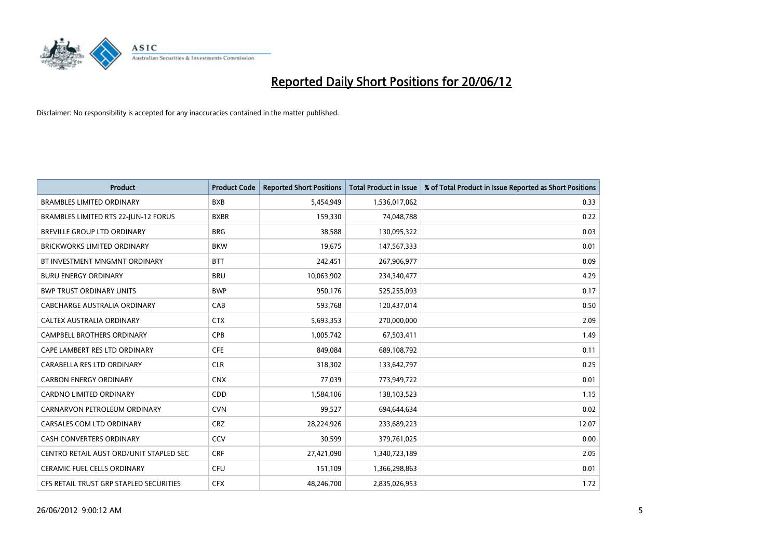

| <b>Product</b>                          | <b>Product Code</b> | <b>Reported Short Positions</b> | <b>Total Product in Issue</b> | % of Total Product in Issue Reported as Short Positions |
|-----------------------------------------|---------------------|---------------------------------|-------------------------------|---------------------------------------------------------|
| <b>BRAMBLES LIMITED ORDINARY</b>        | <b>BXB</b>          | 5,454,949                       | 1,536,017,062                 | 0.33                                                    |
| BRAMBLES LIMITED RTS 22-JUN-12 FORUS    | <b>BXBR</b>         | 159,330                         | 74,048,788                    | 0.22                                                    |
| BREVILLE GROUP LTD ORDINARY             | <b>BRG</b>          | 38,588                          | 130,095,322                   | 0.03                                                    |
| <b>BRICKWORKS LIMITED ORDINARY</b>      | <b>BKW</b>          | 19,675                          | 147,567,333                   | 0.01                                                    |
| BT INVESTMENT MNGMNT ORDINARY           | <b>BTT</b>          | 242,451                         | 267,906,977                   | 0.09                                                    |
| <b>BURU ENERGY ORDINARY</b>             | <b>BRU</b>          | 10,063,902                      | 234,340,477                   | 4.29                                                    |
| <b>BWP TRUST ORDINARY UNITS</b>         | <b>BWP</b>          | 950,176                         | 525,255,093                   | 0.17                                                    |
| CABCHARGE AUSTRALIA ORDINARY            | CAB                 | 593,768                         | 120,437,014                   | 0.50                                                    |
| CALTEX AUSTRALIA ORDINARY               | <b>CTX</b>          | 5,693,353                       | 270,000,000                   | 2.09                                                    |
| <b>CAMPBELL BROTHERS ORDINARY</b>       | <b>CPB</b>          | 1,005,742                       | 67,503,411                    | 1.49                                                    |
| CAPE LAMBERT RES LTD ORDINARY           | <b>CFE</b>          | 849,084                         | 689,108,792                   | 0.11                                                    |
| CARABELLA RES LTD ORDINARY              | <b>CLR</b>          | 318,302                         | 133,642,797                   | 0.25                                                    |
| <b>CARBON ENERGY ORDINARY</b>           | <b>CNX</b>          | 77,039                          | 773,949,722                   | 0.01                                                    |
| <b>CARDNO LIMITED ORDINARY</b>          | CDD                 | 1,584,106                       | 138,103,523                   | 1.15                                                    |
| CARNARVON PETROLEUM ORDINARY            | <b>CVN</b>          | 99,527                          | 694,644,634                   | 0.02                                                    |
| CARSALES.COM LTD ORDINARY               | <b>CRZ</b>          | 28,224,926                      | 233,689,223                   | 12.07                                                   |
| <b>CASH CONVERTERS ORDINARY</b>         | CCV                 | 30,599                          | 379,761,025                   | 0.00                                                    |
| CENTRO RETAIL AUST ORD/UNIT STAPLED SEC | <b>CRF</b>          | 27,421,090                      | 1,340,723,189                 | 2.05                                                    |
| <b>CERAMIC FUEL CELLS ORDINARY</b>      | <b>CFU</b>          | 151,109                         | 1,366,298,863                 | 0.01                                                    |
| CFS RETAIL TRUST GRP STAPLED SECURITIES | <b>CFX</b>          | 48,246,700                      | 2,835,026,953                 | 1.72                                                    |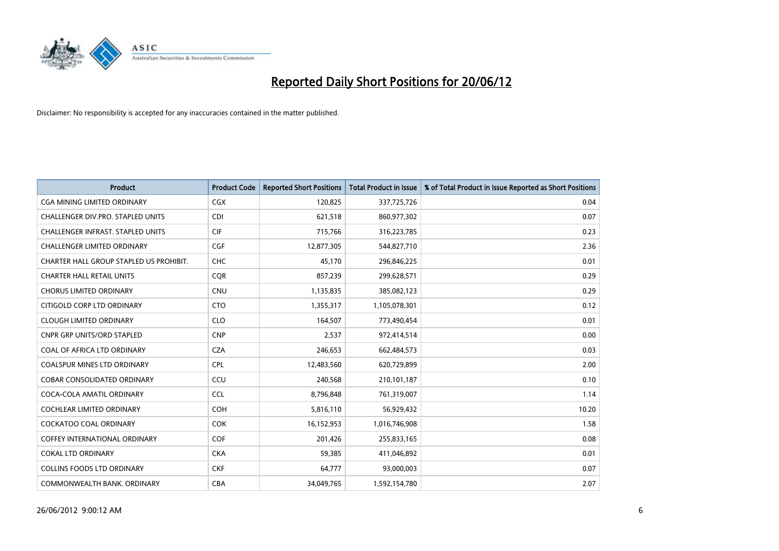

| <b>Product</b>                           | <b>Product Code</b> | <b>Reported Short Positions</b> | <b>Total Product in Issue</b> | % of Total Product in Issue Reported as Short Positions |
|------------------------------------------|---------------------|---------------------------------|-------------------------------|---------------------------------------------------------|
| <b>CGA MINING LIMITED ORDINARY</b>       | CGX                 | 120,825                         | 337,725,726                   | 0.04                                                    |
| CHALLENGER DIV.PRO. STAPLED UNITS        | <b>CDI</b>          | 621,518                         | 860,977,302                   | 0.07                                                    |
| <b>CHALLENGER INFRAST, STAPLED UNITS</b> | <b>CIF</b>          | 715,766                         | 316,223,785                   | 0.23                                                    |
| CHALLENGER LIMITED ORDINARY              | <b>CGF</b>          | 12,877,305                      | 544,827,710                   | 2.36                                                    |
| CHARTER HALL GROUP STAPLED US PROHIBIT.  | <b>CHC</b>          | 45.170                          | 296,846,225                   | 0.01                                                    |
| <b>CHARTER HALL RETAIL UNITS</b>         | CQR                 | 857,239                         | 299,628,571                   | 0.29                                                    |
| <b>CHORUS LIMITED ORDINARY</b>           | <b>CNU</b>          | 1,135,835                       | 385,082,123                   | 0.29                                                    |
| CITIGOLD CORP LTD ORDINARY               | <b>CTO</b>          | 1,355,317                       | 1,105,078,301                 | 0.12                                                    |
| <b>CLOUGH LIMITED ORDINARY</b>           | <b>CLO</b>          | 164,507                         | 773,490,454                   | 0.01                                                    |
| <b>CNPR GRP UNITS/ORD STAPLED</b>        | <b>CNP</b>          | 2,537                           | 972,414,514                   | 0.00                                                    |
| COAL OF AFRICA LTD ORDINARY              | <b>CZA</b>          | 246,653                         | 662,484,573                   | 0.03                                                    |
| <b>COALSPUR MINES LTD ORDINARY</b>       | <b>CPL</b>          | 12,483,560                      | 620,729,899                   | 2.00                                                    |
| <b>COBAR CONSOLIDATED ORDINARY</b>       | CCU                 | 240.568                         | 210,101,187                   | 0.10                                                    |
| COCA-COLA AMATIL ORDINARY                | <b>CCL</b>          | 8,796,848                       | 761,319,007                   | 1.14                                                    |
| COCHLEAR LIMITED ORDINARY                | <b>COH</b>          | 5,816,110                       | 56,929,432                    | 10.20                                                   |
| <b>COCKATOO COAL ORDINARY</b>            | COK                 | 16,152,953                      | 1,016,746,908                 | 1.58                                                    |
| <b>COFFEY INTERNATIONAL ORDINARY</b>     | <b>COF</b>          | 201,426                         | 255,833,165                   | 0.08                                                    |
| <b>COKAL LTD ORDINARY</b>                | <b>CKA</b>          | 59,385                          | 411,046,892                   | 0.01                                                    |
| <b>COLLINS FOODS LTD ORDINARY</b>        | <b>CKF</b>          | 64,777                          | 93,000,003                    | 0.07                                                    |
| COMMONWEALTH BANK, ORDINARY              | <b>CBA</b>          | 34,049,765                      | 1,592,154,780                 | 2.07                                                    |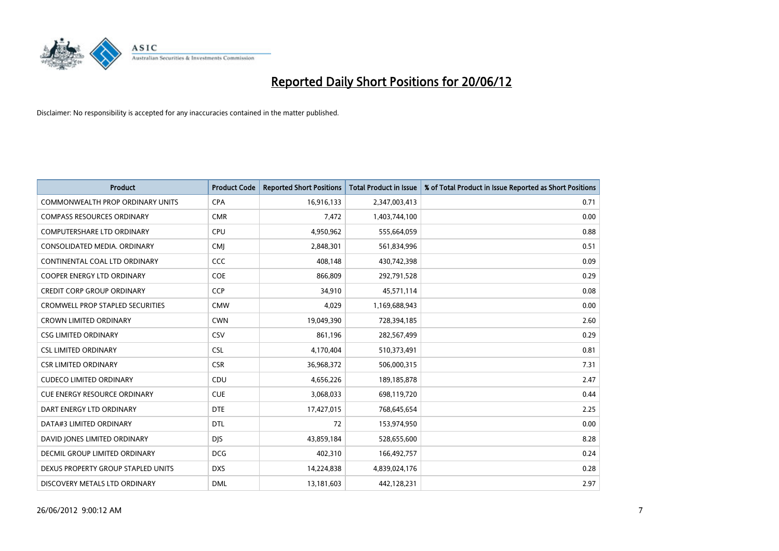

| <b>Product</b>                          | <b>Product Code</b> | <b>Reported Short Positions</b> | <b>Total Product in Issue</b> | % of Total Product in Issue Reported as Short Positions |
|-----------------------------------------|---------------------|---------------------------------|-------------------------------|---------------------------------------------------------|
| <b>COMMONWEALTH PROP ORDINARY UNITS</b> | <b>CPA</b>          | 16,916,133                      | 2,347,003,413                 | 0.71                                                    |
| <b>COMPASS RESOURCES ORDINARY</b>       | <b>CMR</b>          | 7,472                           | 1,403,744,100                 | 0.00                                                    |
| COMPUTERSHARE LTD ORDINARY              | <b>CPU</b>          | 4,950,962                       | 555,664,059                   | 0.88                                                    |
| CONSOLIDATED MEDIA, ORDINARY            | <b>CMI</b>          | 2,848,301                       | 561,834,996                   | 0.51                                                    |
| CONTINENTAL COAL LTD ORDINARY           | CCC                 | 408,148                         | 430,742,398                   | 0.09                                                    |
| COOPER ENERGY LTD ORDINARY              | <b>COE</b>          | 866,809                         | 292,791,528                   | 0.29                                                    |
| <b>CREDIT CORP GROUP ORDINARY</b>       | <b>CCP</b>          | 34,910                          | 45,571,114                    | 0.08                                                    |
| <b>CROMWELL PROP STAPLED SECURITIES</b> | <b>CMW</b>          | 4,029                           | 1,169,688,943                 | 0.00                                                    |
| <b>CROWN LIMITED ORDINARY</b>           | <b>CWN</b>          | 19,049,390                      | 728,394,185                   | 2.60                                                    |
| <b>CSG LIMITED ORDINARY</b>             | CSV                 | 861,196                         | 282,567,499                   | 0.29                                                    |
| <b>CSL LIMITED ORDINARY</b>             | <b>CSL</b>          | 4,170,404                       | 510,373,491                   | 0.81                                                    |
| <b>CSR LIMITED ORDINARY</b>             | <b>CSR</b>          | 36,968,372                      | 506,000,315                   | 7.31                                                    |
| <b>CUDECO LIMITED ORDINARY</b>          | CDU                 | 4,656,226                       | 189, 185, 878                 | 2.47                                                    |
| <b>CUE ENERGY RESOURCE ORDINARY</b>     | <b>CUE</b>          | 3,068,033                       | 698,119,720                   | 0.44                                                    |
| DART ENERGY LTD ORDINARY                | <b>DTE</b>          | 17,427,015                      | 768,645,654                   | 2.25                                                    |
| DATA#3 LIMITED ORDINARY                 | DTL                 | 72                              | 153,974,950                   | 0.00                                                    |
| DAVID JONES LIMITED ORDINARY            | <b>DJS</b>          | 43,859,184                      | 528,655,600                   | 8.28                                                    |
| <b>DECMIL GROUP LIMITED ORDINARY</b>    | <b>DCG</b>          | 402,310                         | 166,492,757                   | 0.24                                                    |
| DEXUS PROPERTY GROUP STAPLED UNITS      | <b>DXS</b>          | 14,224,838                      | 4,839,024,176                 | 0.28                                                    |
| DISCOVERY METALS LTD ORDINARY           | <b>DML</b>          | 13,181,603                      | 442,128,231                   | 2.97                                                    |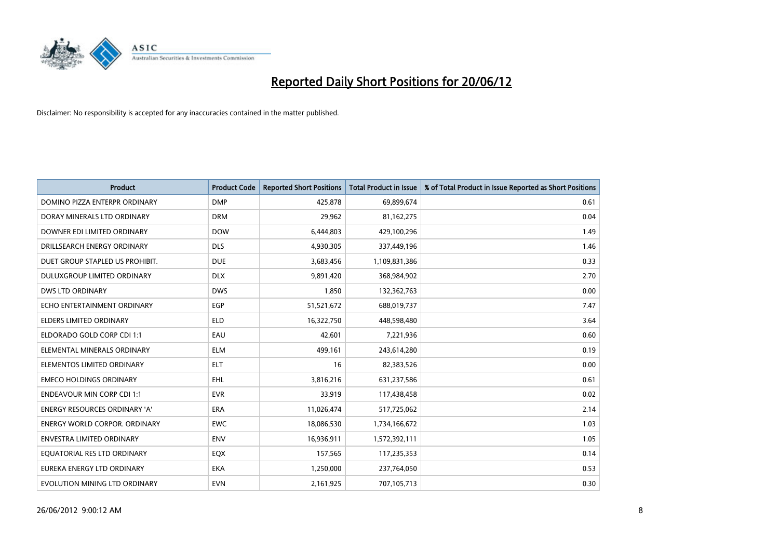

| <b>Product</b>                       | <b>Product Code</b> | <b>Reported Short Positions</b> | <b>Total Product in Issue</b> | % of Total Product in Issue Reported as Short Positions |
|--------------------------------------|---------------------|---------------------------------|-------------------------------|---------------------------------------------------------|
| DOMINO PIZZA ENTERPR ORDINARY        | <b>DMP</b>          | 425,878                         | 69,899,674                    | 0.61                                                    |
| DORAY MINERALS LTD ORDINARY          | <b>DRM</b>          | 29,962                          | 81,162,275                    | 0.04                                                    |
| DOWNER EDI LIMITED ORDINARY          | <b>DOW</b>          | 6,444,803                       | 429,100,296                   | 1.49                                                    |
| DRILLSEARCH ENERGY ORDINARY          | <b>DLS</b>          | 4,930,305                       | 337,449,196                   | 1.46                                                    |
| DUET GROUP STAPLED US PROHIBIT.      | <b>DUE</b>          | 3,683,456                       | 1,109,831,386                 | 0.33                                                    |
| DULUXGROUP LIMITED ORDINARY          | <b>DLX</b>          | 9,891,420                       | 368,984,902                   | 2.70                                                    |
| <b>DWS LTD ORDINARY</b>              | <b>DWS</b>          | 1,850                           | 132,362,763                   | 0.00                                                    |
| ECHO ENTERTAINMENT ORDINARY          | <b>EGP</b>          | 51,521,672                      | 688,019,737                   | 7.47                                                    |
| <b>ELDERS LIMITED ORDINARY</b>       | <b>ELD</b>          | 16,322,750                      | 448,598,480                   | 3.64                                                    |
| ELDORADO GOLD CORP CDI 1:1           | EAU                 | 42,601                          | 7,221,936                     | 0.60                                                    |
| ELEMENTAL MINERALS ORDINARY          | <b>ELM</b>          | 499,161                         | 243,614,280                   | 0.19                                                    |
| ELEMENTOS LIMITED ORDINARY           | <b>ELT</b>          | 16                              | 82,383,526                    | 0.00                                                    |
| <b>EMECO HOLDINGS ORDINARY</b>       | EHL                 | 3,816,216                       | 631,237,586                   | 0.61                                                    |
| <b>ENDEAVOUR MIN CORP CDI 1:1</b>    | <b>EVR</b>          | 33,919                          | 117,438,458                   | 0.02                                                    |
| <b>ENERGY RESOURCES ORDINARY 'A'</b> | <b>ERA</b>          | 11,026,474                      | 517,725,062                   | 2.14                                                    |
| ENERGY WORLD CORPOR. ORDINARY        | <b>EWC</b>          | 18,086,530                      | 1,734,166,672                 | 1.03                                                    |
| ENVESTRA LIMITED ORDINARY            | <b>ENV</b>          | 16,936,911                      | 1,572,392,111                 | 1.05                                                    |
| EQUATORIAL RES LTD ORDINARY          | EQX                 | 157,565                         | 117,235,353                   | 0.14                                                    |
| EUREKA ENERGY LTD ORDINARY           | <b>EKA</b>          | 1,250,000                       | 237,764,050                   | 0.53                                                    |
| EVOLUTION MINING LTD ORDINARY        | <b>EVN</b>          | 2,161,925                       | 707,105,713                   | 0.30                                                    |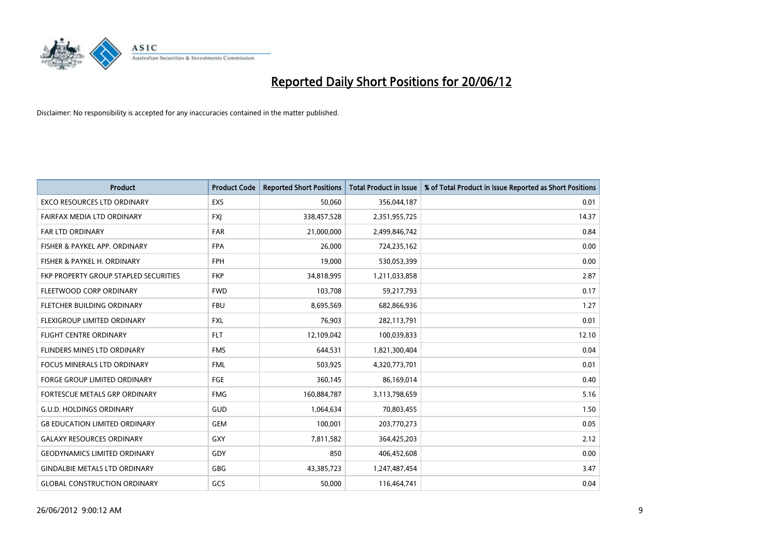

| <b>Product</b>                        | <b>Product Code</b> | <b>Reported Short Positions</b> | <b>Total Product in Issue</b> | % of Total Product in Issue Reported as Short Positions |
|---------------------------------------|---------------------|---------------------------------|-------------------------------|---------------------------------------------------------|
| <b>EXCO RESOURCES LTD ORDINARY</b>    | <b>EXS</b>          | 50,060                          | 356,044,187                   | 0.01                                                    |
| FAIRFAX MEDIA LTD ORDINARY            | <b>FXJ</b>          | 338,457,528                     | 2,351,955,725                 | 14.37                                                   |
| <b>FAR LTD ORDINARY</b>               | <b>FAR</b>          | 21,000,000                      | 2,499,846,742                 | 0.84                                                    |
| FISHER & PAYKEL APP. ORDINARY         | <b>FPA</b>          | 26,000                          | 724,235,162                   | 0.00                                                    |
| FISHER & PAYKEL H. ORDINARY           | <b>FPH</b>          | 19,000                          | 530,053,399                   | 0.00                                                    |
| FKP PROPERTY GROUP STAPLED SECURITIES | <b>FKP</b>          | 34,818,995                      | 1,211,033,858                 | 2.87                                                    |
| FLEETWOOD CORP ORDINARY               | <b>FWD</b>          | 103,708                         | 59,217,793                    | 0.17                                                    |
| FLETCHER BUILDING ORDINARY            | <b>FBU</b>          | 8,695,569                       | 682,866,936                   | 1.27                                                    |
| FLEXIGROUP LIMITED ORDINARY           | <b>FXL</b>          | 76,903                          | 282,113,791                   | 0.01                                                    |
| <b>FLIGHT CENTRE ORDINARY</b>         | <b>FLT</b>          | 12,109,042                      | 100,039,833                   | 12.10                                                   |
| FLINDERS MINES LTD ORDINARY           | <b>FMS</b>          | 644,531                         | 1,821,300,404                 | 0.04                                                    |
| <b>FOCUS MINERALS LTD ORDINARY</b>    | <b>FML</b>          | 503,925                         | 4,320,773,701                 | 0.01                                                    |
| <b>FORGE GROUP LIMITED ORDINARY</b>   | FGE                 | 360,145                         | 86,169,014                    | 0.40                                                    |
| FORTESCUE METALS GRP ORDINARY         | <b>FMG</b>          | 160,884,787                     | 3,113,798,659                 | 5.16                                                    |
| <b>G.U.D. HOLDINGS ORDINARY</b>       | GUD                 | 1,064,634                       | 70,803,455                    | 1.50                                                    |
| <b>G8 EDUCATION LIMITED ORDINARY</b>  | <b>GEM</b>          | 100,001                         | 203,770,273                   | 0.05                                                    |
| <b>GALAXY RESOURCES ORDINARY</b>      | GXY                 | 7,811,582                       | 364,425,203                   | 2.12                                                    |
| <b>GEODYNAMICS LIMITED ORDINARY</b>   | GDY                 | 850                             | 406,452,608                   | 0.00                                                    |
| <b>GINDALBIE METALS LTD ORDINARY</b>  | GBG                 | 43,385,723                      | 1,247,487,454                 | 3.47                                                    |
| <b>GLOBAL CONSTRUCTION ORDINARY</b>   | GCS                 | 50,000                          | 116,464,741                   | 0.04                                                    |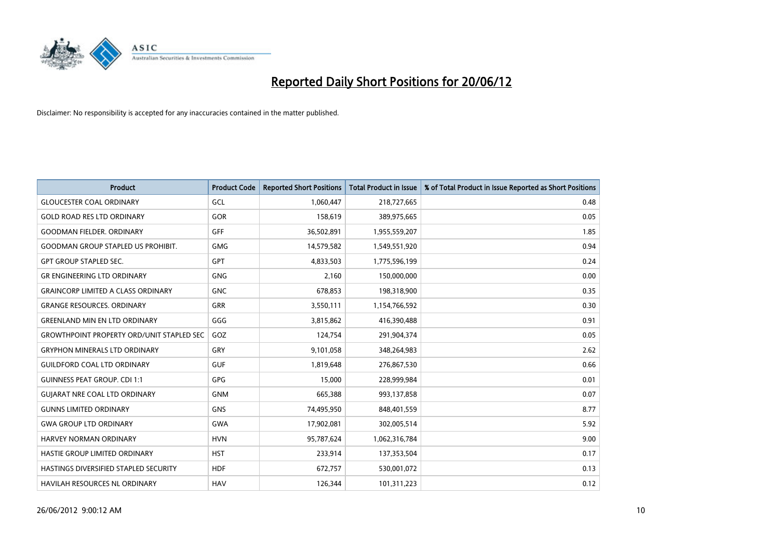

| <b>Product</b>                                   | <b>Product Code</b> | <b>Reported Short Positions</b> | <b>Total Product in Issue</b> | % of Total Product in Issue Reported as Short Positions |
|--------------------------------------------------|---------------------|---------------------------------|-------------------------------|---------------------------------------------------------|
| <b>GLOUCESTER COAL ORDINARY</b>                  | GCL                 | 1,060,447                       | 218,727,665                   | 0.48                                                    |
| <b>GOLD ROAD RES LTD ORDINARY</b>                | GOR                 | 158,619                         | 389,975,665                   | 0.05                                                    |
| <b>GOODMAN FIELDER. ORDINARY</b>                 | <b>GFF</b>          | 36,502,891                      | 1,955,559,207                 | 1.85                                                    |
| <b>GOODMAN GROUP STAPLED US PROHIBIT.</b>        | <b>GMG</b>          | 14,579,582                      | 1,549,551,920                 | 0.94                                                    |
| <b>GPT GROUP STAPLED SEC.</b>                    | <b>GPT</b>          | 4,833,503                       | 1,775,596,199                 | 0.24                                                    |
| <b>GR ENGINEERING LTD ORDINARY</b>               | GNG                 | 2,160                           | 150,000,000                   | 0.00                                                    |
| <b>GRAINCORP LIMITED A CLASS ORDINARY</b>        | <b>GNC</b>          | 678,853                         | 198,318,900                   | 0.35                                                    |
| <b>GRANGE RESOURCES. ORDINARY</b>                | GRR                 | 3,550,111                       | 1,154,766,592                 | 0.30                                                    |
| <b>GREENLAND MIN EN LTD ORDINARY</b>             | GGG                 | 3,815,862                       | 416,390,488                   | 0.91                                                    |
| <b>GROWTHPOINT PROPERTY ORD/UNIT STAPLED SEC</b> | GOZ                 | 124,754                         | 291,904,374                   | 0.05                                                    |
| <b>GRYPHON MINERALS LTD ORDINARY</b>             | <b>GRY</b>          | 9,101,058                       | 348,264,983                   | 2.62                                                    |
| <b>GUILDFORD COAL LTD ORDINARY</b>               | <b>GUF</b>          | 1,819,648                       | 276,867,530                   | 0.66                                                    |
| <b>GUINNESS PEAT GROUP. CDI 1:1</b>              | <b>GPG</b>          | 15,000                          | 228,999,984                   | 0.01                                                    |
| <b>GUIARAT NRE COAL LTD ORDINARY</b>             | <b>GNM</b>          | 665,388                         | 993,137,858                   | 0.07                                                    |
| <b>GUNNS LIMITED ORDINARY</b>                    | <b>GNS</b>          | 74,495,950                      | 848,401,559                   | 8.77                                                    |
| <b>GWA GROUP LTD ORDINARY</b>                    | <b>GWA</b>          | 17,902,081                      | 302,005,514                   | 5.92                                                    |
| HARVEY NORMAN ORDINARY                           | <b>HVN</b>          | 95,787,624                      | 1,062,316,784                 | 9.00                                                    |
| HASTIE GROUP LIMITED ORDINARY                    | <b>HST</b>          | 233,914                         | 137,353,504                   | 0.17                                                    |
| HASTINGS DIVERSIFIED STAPLED SECURITY            | <b>HDF</b>          | 672,757                         | 530,001,072                   | 0.13                                                    |
| <b>HAVILAH RESOURCES NL ORDINARY</b>             | <b>HAV</b>          | 126,344                         | 101,311,223                   | 0.12                                                    |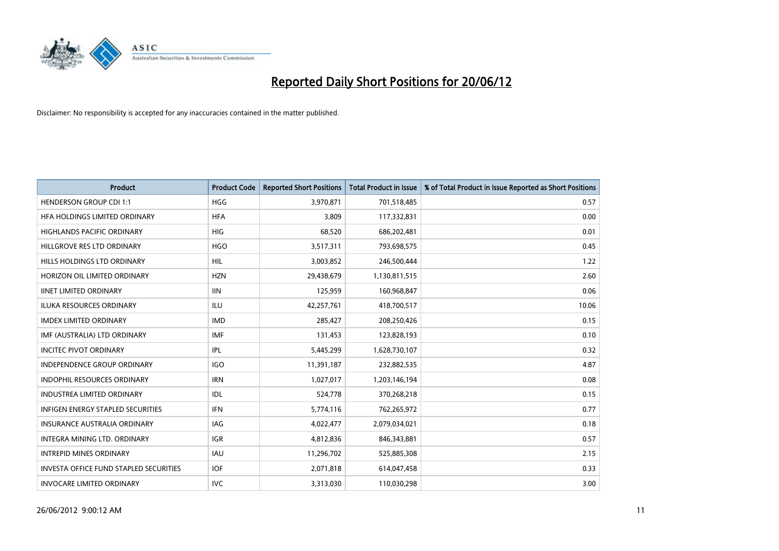

| <b>Product</b>                                | <b>Product Code</b> | <b>Reported Short Positions</b> | <b>Total Product in Issue</b> | % of Total Product in Issue Reported as Short Positions |
|-----------------------------------------------|---------------------|---------------------------------|-------------------------------|---------------------------------------------------------|
| <b>HENDERSON GROUP CDI 1:1</b>                | <b>HGG</b>          | 3,970,871                       | 701,518,485                   | 0.57                                                    |
| HFA HOLDINGS LIMITED ORDINARY                 | <b>HFA</b>          | 3,809                           | 117,332,831                   | 0.00                                                    |
| <b>HIGHLANDS PACIFIC ORDINARY</b>             | <b>HIG</b>          | 68,520                          | 686,202,481                   | 0.01                                                    |
| HILLGROVE RES LTD ORDINARY                    | <b>HGO</b>          | 3,517,311                       | 793,698,575                   | 0.45                                                    |
| HILLS HOLDINGS LTD ORDINARY                   | HIL                 | 3,003,852                       | 246,500,444                   | 1.22                                                    |
| HORIZON OIL LIMITED ORDINARY                  | <b>HZN</b>          | 29,438,679                      | 1,130,811,515                 | 2.60                                                    |
| <b>IINET LIMITED ORDINARY</b>                 | <b>IIN</b>          | 125,959                         | 160,968,847                   | 0.06                                                    |
| ILUKA RESOURCES ORDINARY                      | <b>ILU</b>          | 42,257,761                      | 418,700,517                   | 10.06                                                   |
| <b>IMDEX LIMITED ORDINARY</b>                 | <b>IMD</b>          | 285,427                         | 208,250,426                   | 0.15                                                    |
| IMF (AUSTRALIA) LTD ORDINARY                  | <b>IMF</b>          | 131,453                         | 123,828,193                   | 0.10                                                    |
| <b>INCITEC PIVOT ORDINARY</b>                 | IPL                 | 5,445,299                       | 1,628,730,107                 | 0.32                                                    |
| <b>INDEPENDENCE GROUP ORDINARY</b>            | <b>IGO</b>          | 11,391,187                      | 232,882,535                   | 4.87                                                    |
| INDOPHIL RESOURCES ORDINARY                   | <b>IRN</b>          | 1,027,017                       | 1,203,146,194                 | 0.08                                                    |
| <b>INDUSTREA LIMITED ORDINARY</b>             | IDL                 | 524,778                         | 370,268,218                   | 0.15                                                    |
| <b>INFIGEN ENERGY STAPLED SECURITIES</b>      | <b>IFN</b>          | 5,774,116                       | 762,265,972                   | 0.77                                                    |
| INSURANCE AUSTRALIA ORDINARY                  | IAG                 | 4,022,477                       | 2,079,034,021                 | 0.18                                                    |
| INTEGRA MINING LTD. ORDINARY                  | IGR                 | 4,812,836                       | 846,343,881                   | 0.57                                                    |
| <b>INTREPID MINES ORDINARY</b>                | <b>IAU</b>          | 11,296,702                      | 525,885,308                   | 2.15                                                    |
| <b>INVESTA OFFICE FUND STAPLED SECURITIES</b> | <b>IOF</b>          | 2,071,818                       | 614,047,458                   | 0.33                                                    |
| <b>INVOCARE LIMITED ORDINARY</b>              | <b>IVC</b>          | 3,313,030                       | 110,030,298                   | 3.00                                                    |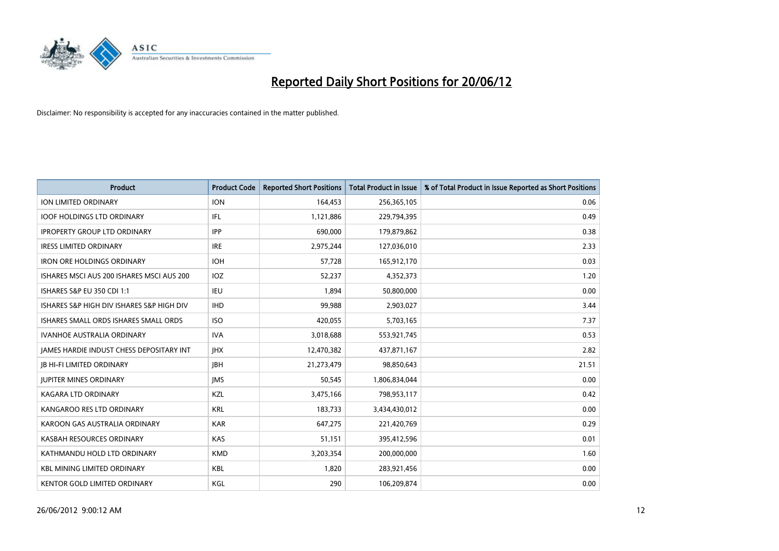

| <b>Product</b>                            | <b>Product Code</b> | <b>Reported Short Positions</b> | <b>Total Product in Issue</b> | % of Total Product in Issue Reported as Short Positions |
|-------------------------------------------|---------------------|---------------------------------|-------------------------------|---------------------------------------------------------|
| <b>ION LIMITED ORDINARY</b>               | <b>ION</b>          | 164,453                         | 256,365,105                   | 0.06                                                    |
| <b>IOOF HOLDINGS LTD ORDINARY</b>         | IFL                 | 1,121,886                       | 229,794,395                   | 0.49                                                    |
| <b>IPROPERTY GROUP LTD ORDINARY</b>       | <b>IPP</b>          | 690,000                         | 179,879,862                   | 0.38                                                    |
| <b>IRESS LIMITED ORDINARY</b>             | <b>IRE</b>          | 2,975,244                       | 127,036,010                   | 2.33                                                    |
| <b>IRON ORE HOLDINGS ORDINARY</b>         | <b>IOH</b>          | 57,728                          | 165,912,170                   | 0.03                                                    |
| ISHARES MSCI AUS 200 ISHARES MSCI AUS 200 | <b>IOZ</b>          | 52,237                          | 4,352,373                     | 1.20                                                    |
| ISHARES S&P EU 350 CDI 1:1                | IEU                 | 1,894                           | 50,800,000                    | 0.00                                                    |
| ISHARES S&P HIGH DIV ISHARES S&P HIGH DIV | <b>IHD</b>          | 99,988                          | 2,903,027                     | 3.44                                                    |
| ISHARES SMALL ORDS ISHARES SMALL ORDS     | <b>ISO</b>          | 420,055                         | 5,703,165                     | 7.37                                                    |
| <b>IVANHOE AUSTRALIA ORDINARY</b>         | <b>IVA</b>          | 3,018,688                       | 553,921,745                   | 0.53                                                    |
| JAMES HARDIE INDUST CHESS DEPOSITARY INT  | <b>IHX</b>          | 12,470,382                      | 437,871,167                   | 2.82                                                    |
| <b>JB HI-FI LIMITED ORDINARY</b>          | <b>IBH</b>          | 21,273,479                      | 98,850,643                    | 21.51                                                   |
| <b>JUPITER MINES ORDINARY</b>             | <b>IMS</b>          | 50,545                          | 1,806,834,044                 | 0.00                                                    |
| <b>KAGARA LTD ORDINARY</b>                | KZL                 | 3,475,166                       | 798,953,117                   | 0.42                                                    |
| KANGAROO RES LTD ORDINARY                 | <b>KRL</b>          | 183,733                         | 3,434,430,012                 | 0.00                                                    |
| KAROON GAS AUSTRALIA ORDINARY             | <b>KAR</b>          | 647,275                         | 221,420,769                   | 0.29                                                    |
| KASBAH RESOURCES ORDINARY                 | <b>KAS</b>          | 51,151                          | 395,412,596                   | 0.01                                                    |
| KATHMANDU HOLD LTD ORDINARY               | <b>KMD</b>          | 3,203,354                       | 200,000,000                   | 1.60                                                    |
| <b>KBL MINING LIMITED ORDINARY</b>        | <b>KBL</b>          | 1,820                           | 283,921,456                   | 0.00                                                    |
| KENTOR GOLD LIMITED ORDINARY              | KGL                 | 290                             | 106,209,874                   | 0.00                                                    |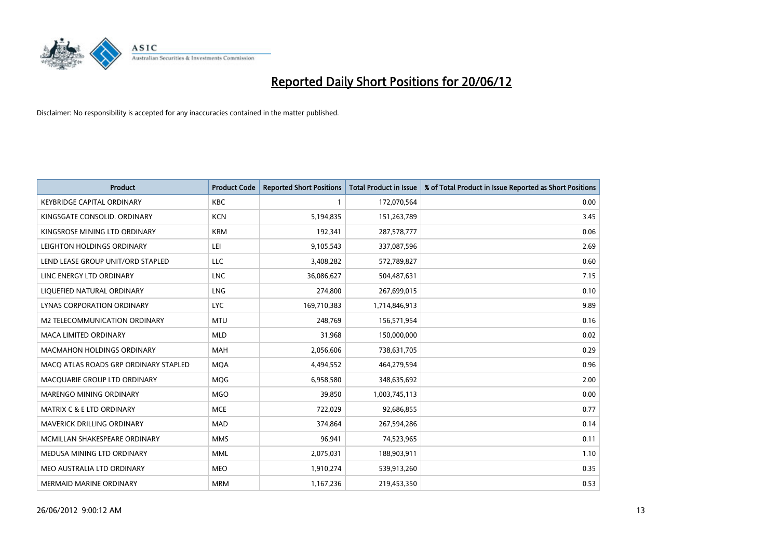

| <b>Product</b>                        | <b>Product Code</b> | <b>Reported Short Positions</b> | <b>Total Product in Issue</b> | % of Total Product in Issue Reported as Short Positions |
|---------------------------------------|---------------------|---------------------------------|-------------------------------|---------------------------------------------------------|
| <b>KEYBRIDGE CAPITAL ORDINARY</b>     | <b>KBC</b>          | 1                               | 172,070,564                   | 0.00                                                    |
| KINGSGATE CONSOLID. ORDINARY          | <b>KCN</b>          | 5,194,835                       | 151,263,789                   | 3.45                                                    |
| KINGSROSE MINING LTD ORDINARY         | <b>KRM</b>          | 192,341                         | 287,578,777                   | 0.06                                                    |
| LEIGHTON HOLDINGS ORDINARY            | LEI                 | 9,105,543                       | 337,087,596                   | 2.69                                                    |
| LEND LEASE GROUP UNIT/ORD STAPLED     | LLC                 | 3,408,282                       | 572,789,827                   | 0.60                                                    |
| LINC ENERGY LTD ORDINARY              | <b>LNC</b>          | 36,086,627                      | 504,487,631                   | 7.15                                                    |
| LIQUEFIED NATURAL ORDINARY            | <b>LNG</b>          | 274,800                         | 267,699,015                   | 0.10                                                    |
| LYNAS CORPORATION ORDINARY            | <b>LYC</b>          | 169,710,383                     | 1,714,846,913                 | 9.89                                                    |
| M2 TELECOMMUNICATION ORDINARY         | <b>MTU</b>          | 248,769                         | 156,571,954                   | 0.16                                                    |
| <b>MACA LIMITED ORDINARY</b>          | <b>MLD</b>          | 31,968                          | 150,000,000                   | 0.02                                                    |
| <b>MACMAHON HOLDINGS ORDINARY</b>     | <b>MAH</b>          | 2,056,606                       | 738,631,705                   | 0.29                                                    |
| MACQ ATLAS ROADS GRP ORDINARY STAPLED | <b>MQA</b>          | 4,494,552                       | 464,279,594                   | 0.96                                                    |
| MACQUARIE GROUP LTD ORDINARY          | MQG                 | 6,958,580                       | 348,635,692                   | 2.00                                                    |
| MARENGO MINING ORDINARY               | <b>MGO</b>          | 39,850                          | 1,003,745,113                 | 0.00                                                    |
| <b>MATRIX C &amp; E LTD ORDINARY</b>  | <b>MCE</b>          | 722,029                         | 92,686,855                    | 0.77                                                    |
| <b>MAVERICK DRILLING ORDINARY</b>     | <b>MAD</b>          | 374,864                         | 267,594,286                   | 0.14                                                    |
| MCMILLAN SHAKESPEARE ORDINARY         | <b>MMS</b>          | 96,941                          | 74,523,965                    | 0.11                                                    |
| MEDUSA MINING LTD ORDINARY            | <b>MML</b>          | 2,075,031                       | 188,903,911                   | 1.10                                                    |
| MEO AUSTRALIA LTD ORDINARY            | <b>MEO</b>          | 1,910,274                       | 539,913,260                   | 0.35                                                    |
| MERMAID MARINE ORDINARY               | <b>MRM</b>          | 1,167,236                       | 219,453,350                   | 0.53                                                    |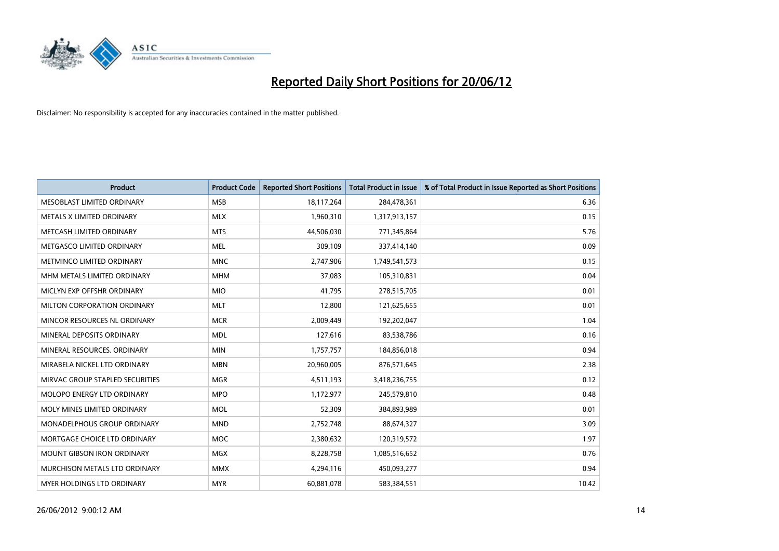

| <b>Product</b>                  | <b>Product Code</b> | <b>Reported Short Positions</b> | <b>Total Product in Issue</b> | % of Total Product in Issue Reported as Short Positions |
|---------------------------------|---------------------|---------------------------------|-------------------------------|---------------------------------------------------------|
| MESOBLAST LIMITED ORDINARY      | <b>MSB</b>          | 18,117,264                      | 284,478,361                   | 6.36                                                    |
| METALS X LIMITED ORDINARY       | <b>MLX</b>          | 1,960,310                       | 1,317,913,157                 | 0.15                                                    |
| METCASH LIMITED ORDINARY        | <b>MTS</b>          | 44,506,030                      | 771,345,864                   | 5.76                                                    |
| METGASCO LIMITED ORDINARY       | <b>MEL</b>          | 309,109                         | 337,414,140                   | 0.09                                                    |
| METMINCO LIMITED ORDINARY       | <b>MNC</b>          | 2,747,906                       | 1,749,541,573                 | 0.15                                                    |
| MHM METALS LIMITED ORDINARY     | <b>MHM</b>          | 37,083                          | 105,310,831                   | 0.04                                                    |
| MICLYN EXP OFFSHR ORDINARY      | <b>MIO</b>          | 41.795                          | 278,515,705                   | 0.01                                                    |
| MILTON CORPORATION ORDINARY     | <b>MLT</b>          | 12,800                          | 121,625,655                   | 0.01                                                    |
| MINCOR RESOURCES NL ORDINARY    | <b>MCR</b>          | 2,009,449                       | 192,202,047                   | 1.04                                                    |
| MINERAL DEPOSITS ORDINARY       | <b>MDL</b>          | 127,616                         | 83,538,786                    | 0.16                                                    |
| MINERAL RESOURCES. ORDINARY     | <b>MIN</b>          | 1,757,757                       | 184,856,018                   | 0.94                                                    |
| MIRABELA NICKEL LTD ORDINARY    | <b>MBN</b>          | 20,960,005                      | 876,571,645                   | 2.38                                                    |
| MIRVAC GROUP STAPLED SECURITIES | <b>MGR</b>          | 4,511,193                       | 3,418,236,755                 | 0.12                                                    |
| MOLOPO ENERGY LTD ORDINARY      | <b>MPO</b>          | 1,172,977                       | 245,579,810                   | 0.48                                                    |
| MOLY MINES LIMITED ORDINARY     | <b>MOL</b>          | 52,309                          | 384,893,989                   | 0.01                                                    |
| MONADELPHOUS GROUP ORDINARY     | <b>MND</b>          | 2,752,748                       | 88,674,327                    | 3.09                                                    |
| MORTGAGE CHOICE LTD ORDINARY    | MOC                 | 2,380,632                       | 120,319,572                   | 1.97                                                    |
| MOUNT GIBSON IRON ORDINARY      | <b>MGX</b>          | 8,228,758                       | 1,085,516,652                 | 0.76                                                    |
| MURCHISON METALS LTD ORDINARY   | <b>MMX</b>          | 4,294,116                       | 450,093,277                   | 0.94                                                    |
| MYER HOLDINGS LTD ORDINARY      | <b>MYR</b>          | 60,881,078                      | 583,384,551                   | 10.42                                                   |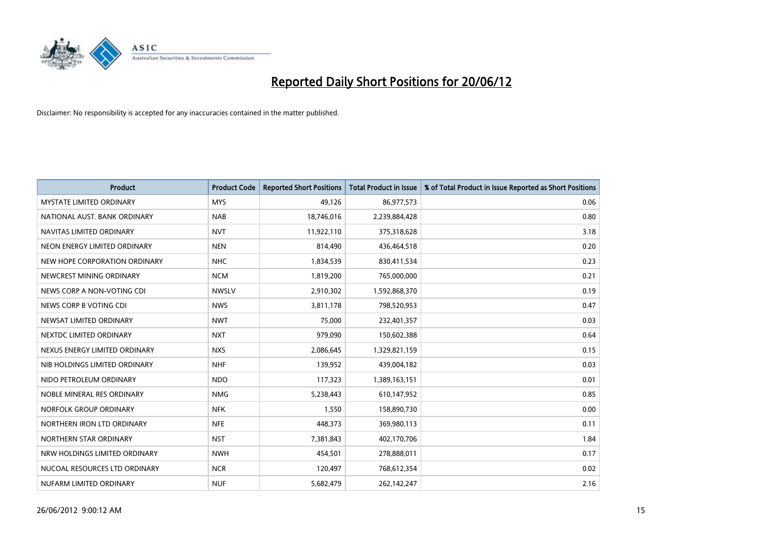

| <b>Product</b>                  | <b>Product Code</b> | <b>Reported Short Positions</b> | <b>Total Product in Issue</b> | % of Total Product in Issue Reported as Short Positions |
|---------------------------------|---------------------|---------------------------------|-------------------------------|---------------------------------------------------------|
| <b>MYSTATE LIMITED ORDINARY</b> | <b>MYS</b>          | 49,126                          | 86,977,573                    | 0.06                                                    |
| NATIONAL AUST. BANK ORDINARY    | <b>NAB</b>          | 18,746,016                      | 2,239,884,428                 | 0.80                                                    |
| NAVITAS LIMITED ORDINARY        | <b>NVT</b>          | 11,922,110                      | 375,318,628                   | 3.18                                                    |
| NEON ENERGY LIMITED ORDINARY    | <b>NEN</b>          | 814,490                         | 436,464,518                   | 0.20                                                    |
| NEW HOPE CORPORATION ORDINARY   | <b>NHC</b>          | 1,834,539                       | 830,411,534                   | 0.23                                                    |
| NEWCREST MINING ORDINARY        | <b>NCM</b>          | 1,819,200                       | 765,000,000                   | 0.21                                                    |
| NEWS CORP A NON-VOTING CDI      | <b>NWSLV</b>        | 2,910,302                       | 1,592,868,370                 | 0.19                                                    |
| NEWS CORP B VOTING CDI          | <b>NWS</b>          | 3,811,178                       | 798,520,953                   | 0.47                                                    |
| NEWSAT LIMITED ORDINARY         | <b>NWT</b>          | 75,000                          | 232,401,357                   | 0.03                                                    |
| NEXTDC LIMITED ORDINARY         | <b>NXT</b>          | 979,090                         | 150,602,388                   | 0.64                                                    |
| NEXUS ENERGY LIMITED ORDINARY   | <b>NXS</b>          | 2,086,645                       | 1,329,821,159                 | 0.15                                                    |
| NIB HOLDINGS LIMITED ORDINARY   | <b>NHF</b>          | 139,952                         | 439,004,182                   | 0.03                                                    |
| NIDO PETROLEUM ORDINARY         | <b>NDO</b>          | 117,323                         | 1,389,163,151                 | 0.01                                                    |
| NOBLE MINERAL RES ORDINARY      | <b>NMG</b>          | 5,238,443                       | 610,147,952                   | 0.85                                                    |
| NORFOLK GROUP ORDINARY          | <b>NFK</b>          | 1,550                           | 158,890,730                   | 0.00                                                    |
| NORTHERN IRON LTD ORDINARY      | <b>NFE</b>          | 448,373                         | 369,980,113                   | 0.11                                                    |
| NORTHERN STAR ORDINARY          | <b>NST</b>          | 7,381,843                       | 402,170,706                   | 1.84                                                    |
| NRW HOLDINGS LIMITED ORDINARY   | <b>NWH</b>          | 454,501                         | 278,888,011                   | 0.17                                                    |
| NUCOAL RESOURCES LTD ORDINARY   | <b>NCR</b>          | 120,497                         | 768,612,354                   | 0.02                                                    |
| NUFARM LIMITED ORDINARY         | <b>NUF</b>          | 5,682,479                       | 262,142,247                   | 2.16                                                    |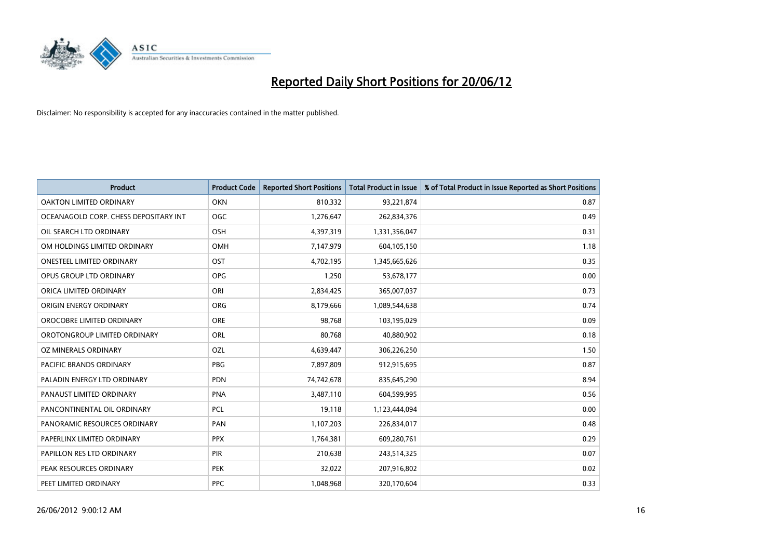

| <b>Product</b>                        | <b>Product Code</b> | <b>Reported Short Positions</b> | <b>Total Product in Issue</b> | % of Total Product in Issue Reported as Short Positions |
|---------------------------------------|---------------------|---------------------------------|-------------------------------|---------------------------------------------------------|
| <b>OAKTON LIMITED ORDINARY</b>        | <b>OKN</b>          | 810,332                         | 93,221,874                    | 0.87                                                    |
| OCEANAGOLD CORP. CHESS DEPOSITARY INT | <b>OGC</b>          | 1,276,647                       | 262,834,376                   | 0.49                                                    |
| OIL SEARCH LTD ORDINARY               | OSH                 | 4,397,319                       | 1,331,356,047                 | 0.31                                                    |
| OM HOLDINGS LIMITED ORDINARY          | OMH                 | 7,147,979                       | 604,105,150                   | 1.18                                                    |
| <b>ONESTEEL LIMITED ORDINARY</b>      | OST                 | 4,702,195                       | 1,345,665,626                 | 0.35                                                    |
| OPUS GROUP LTD ORDINARY               | <b>OPG</b>          | 1,250                           | 53,678,177                    | 0.00                                                    |
| ORICA LIMITED ORDINARY                | ORI                 | 2,834,425                       | 365,007,037                   | 0.73                                                    |
| ORIGIN ENERGY ORDINARY                | <b>ORG</b>          | 8,179,666                       | 1,089,544,638                 | 0.74                                                    |
| OROCOBRE LIMITED ORDINARY             | <b>ORE</b>          | 98,768                          | 103,195,029                   | 0.09                                                    |
| OROTONGROUP LIMITED ORDINARY          | ORL                 | 80,768                          | 40,880,902                    | 0.18                                                    |
| OZ MINERALS ORDINARY                  | <b>OZL</b>          | 4,639,447                       | 306,226,250                   | 1.50                                                    |
| PACIFIC BRANDS ORDINARY               | <b>PBG</b>          | 7,897,809                       | 912,915,695                   | 0.87                                                    |
| PALADIN ENERGY LTD ORDINARY           | <b>PDN</b>          | 74,742,678                      | 835,645,290                   | 8.94                                                    |
| PANAUST LIMITED ORDINARY              | <b>PNA</b>          | 3,487,110                       | 604,599,995                   | 0.56                                                    |
| PANCONTINENTAL OIL ORDINARY           | <b>PCL</b>          | 19,118                          | 1,123,444,094                 | 0.00                                                    |
| PANORAMIC RESOURCES ORDINARY          | PAN                 | 1,107,203                       | 226,834,017                   | 0.48                                                    |
| PAPERLINX LIMITED ORDINARY            | <b>PPX</b>          | 1,764,381                       | 609,280,761                   | 0.29                                                    |
| PAPILLON RES LTD ORDINARY             | PIR                 | 210,638                         | 243,514,325                   | 0.07                                                    |
| PEAK RESOURCES ORDINARY               | <b>PEK</b>          | 32,022                          | 207,916,802                   | 0.02                                                    |
| PEET LIMITED ORDINARY                 | <b>PPC</b>          | 1,048,968                       | 320,170,604                   | 0.33                                                    |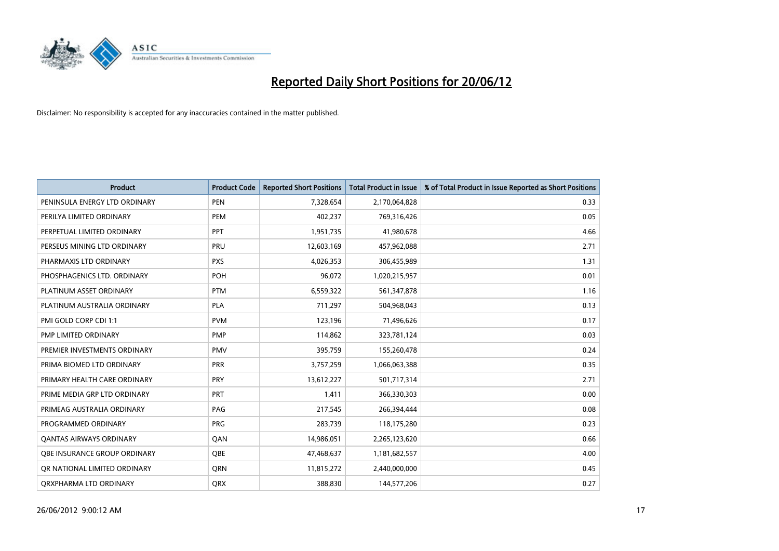

| <b>Product</b>                 | <b>Product Code</b> | <b>Reported Short Positions</b> | <b>Total Product in Issue</b> | % of Total Product in Issue Reported as Short Positions |
|--------------------------------|---------------------|---------------------------------|-------------------------------|---------------------------------------------------------|
| PENINSULA ENERGY LTD ORDINARY  | <b>PEN</b>          | 7,328,654                       | 2,170,064,828                 | 0.33                                                    |
| PERILYA LIMITED ORDINARY       | <b>PEM</b>          | 402,237                         | 769,316,426                   | 0.05                                                    |
| PERPETUAL LIMITED ORDINARY     | PPT                 | 1,951,735                       | 41,980,678                    | 4.66                                                    |
| PERSEUS MINING LTD ORDINARY    | PRU                 | 12,603,169                      | 457,962,088                   | 2.71                                                    |
| PHARMAXIS LTD ORDINARY         | <b>PXS</b>          | 4,026,353                       | 306,455,989                   | 1.31                                                    |
| PHOSPHAGENICS LTD. ORDINARY    | POH                 | 96,072                          | 1,020,215,957                 | 0.01                                                    |
| PLATINUM ASSET ORDINARY        | <b>PTM</b>          | 6,559,322                       | 561,347,878                   | 1.16                                                    |
| PLATINUM AUSTRALIA ORDINARY    | PLA                 | 711,297                         | 504,968,043                   | 0.13                                                    |
| PMI GOLD CORP CDI 1:1          | <b>PVM</b>          | 123,196                         | 71,496,626                    | 0.17                                                    |
| <b>PMP LIMITED ORDINARY</b>    | <b>PMP</b>          | 114,862                         | 323,781,124                   | 0.03                                                    |
| PREMIER INVESTMENTS ORDINARY   | <b>PMV</b>          | 395,759                         | 155,260,478                   | 0.24                                                    |
| PRIMA BIOMED LTD ORDINARY      | <b>PRR</b>          | 3,757,259                       | 1,066,063,388                 | 0.35                                                    |
| PRIMARY HEALTH CARE ORDINARY   | <b>PRY</b>          | 13,612,227                      | 501,717,314                   | 2.71                                                    |
| PRIME MEDIA GRP LTD ORDINARY   | <b>PRT</b>          | 1,411                           | 366,330,303                   | 0.00                                                    |
| PRIMEAG AUSTRALIA ORDINARY     | PAG                 | 217,545                         | 266,394,444                   | 0.08                                                    |
| PROGRAMMED ORDINARY            | <b>PRG</b>          | 283,739                         | 118,175,280                   | 0.23                                                    |
| <b>QANTAS AIRWAYS ORDINARY</b> | QAN                 | 14,986,051                      | 2,265,123,620                 | 0.66                                                    |
| OBE INSURANCE GROUP ORDINARY   | <b>OBE</b>          | 47,468,637                      | 1,181,682,557                 | 4.00                                                    |
| OR NATIONAL LIMITED ORDINARY   | <b>ORN</b>          | 11,815,272                      | 2,440,000,000                 | 0.45                                                    |
| ORXPHARMA LTD ORDINARY         | QRX                 | 388,830                         | 144,577,206                   | 0.27                                                    |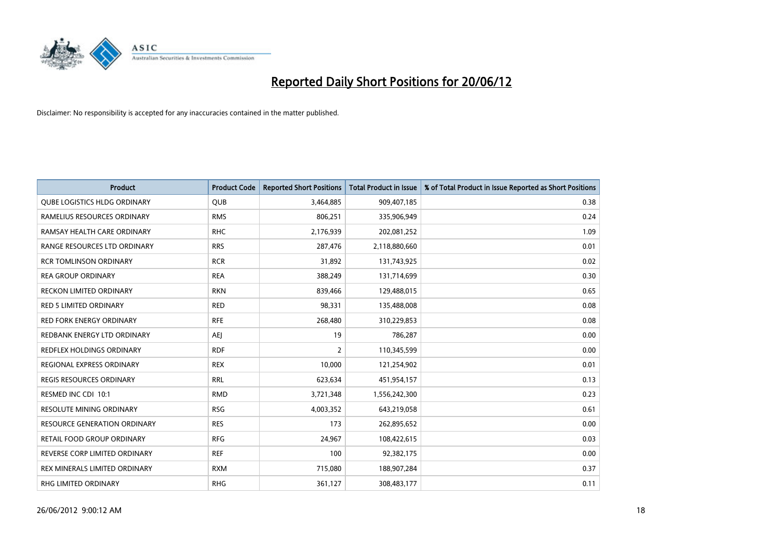

| <b>Product</b>                      | <b>Product Code</b> | <b>Reported Short Positions</b> | <b>Total Product in Issue</b> | % of Total Product in Issue Reported as Short Positions |
|-------------------------------------|---------------------|---------------------------------|-------------------------------|---------------------------------------------------------|
| <b>QUBE LOGISTICS HLDG ORDINARY</b> | <b>QUB</b>          | 3,464,885                       | 909,407,185                   | 0.38                                                    |
| RAMELIUS RESOURCES ORDINARY         | <b>RMS</b>          | 806,251                         | 335,906,949                   | 0.24                                                    |
| RAMSAY HEALTH CARE ORDINARY         | <b>RHC</b>          | 2,176,939                       | 202,081,252                   | 1.09                                                    |
| RANGE RESOURCES LTD ORDINARY        | <b>RRS</b>          | 287,476                         | 2,118,880,660                 | 0.01                                                    |
| <b>RCR TOMLINSON ORDINARY</b>       | <b>RCR</b>          | 31,892                          | 131,743,925                   | 0.02                                                    |
| <b>REA GROUP ORDINARY</b>           | <b>REA</b>          | 388,249                         | 131,714,699                   | 0.30                                                    |
| <b>RECKON LIMITED ORDINARY</b>      | <b>RKN</b>          | 839,466                         | 129,488,015                   | 0.65                                                    |
| RED 5 LIMITED ORDINARY              | <b>RED</b>          | 98,331                          | 135,488,008                   | 0.08                                                    |
| <b>RED FORK ENERGY ORDINARY</b>     | <b>RFE</b>          | 268,480                         | 310,229,853                   | 0.08                                                    |
| REDBANK ENERGY LTD ORDINARY         | AEJ                 | 19                              | 786,287                       | 0.00                                                    |
| REDFLEX HOLDINGS ORDINARY           | <b>RDF</b>          | $\overline{2}$                  | 110,345,599                   | 0.00                                                    |
| REGIONAL EXPRESS ORDINARY           | <b>REX</b>          | 10,000                          | 121,254,902                   | 0.01                                                    |
| REGIS RESOURCES ORDINARY            | <b>RRL</b>          | 623,634                         | 451,954,157                   | 0.13                                                    |
| RESMED INC CDI 10:1                 | <b>RMD</b>          | 3,721,348                       | 1,556,242,300                 | 0.23                                                    |
| <b>RESOLUTE MINING ORDINARY</b>     | <b>RSG</b>          | 4,003,352                       | 643,219,058                   | 0.61                                                    |
| <b>RESOURCE GENERATION ORDINARY</b> | <b>RES</b>          | 173                             | 262,895,652                   | 0.00                                                    |
| RETAIL FOOD GROUP ORDINARY          | <b>RFG</b>          | 24,967                          | 108,422,615                   | 0.03                                                    |
| REVERSE CORP LIMITED ORDINARY       | <b>REF</b>          | 100                             | 92,382,175                    | 0.00                                                    |
| REX MINERALS LIMITED ORDINARY       | <b>RXM</b>          | 715,080                         | 188,907,284                   | 0.37                                                    |
| <b>RHG LIMITED ORDINARY</b>         | <b>RHG</b>          | 361,127                         | 308,483,177                   | 0.11                                                    |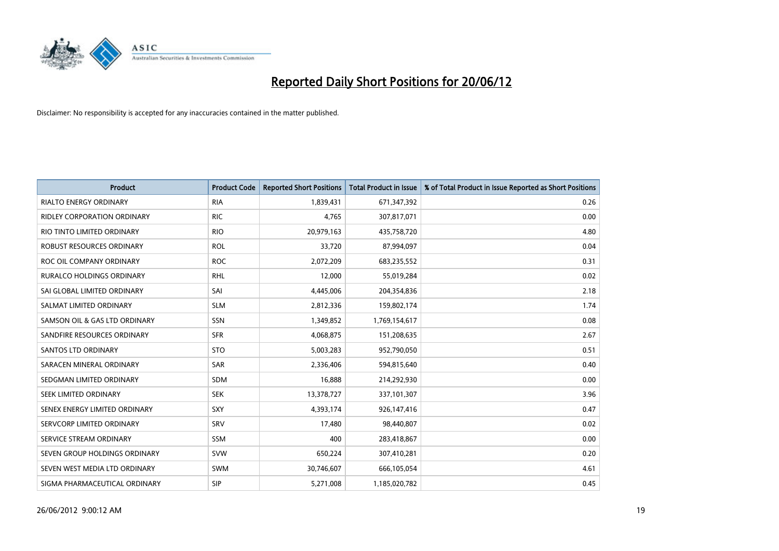

| <b>Product</b>                   | <b>Product Code</b> | <b>Reported Short Positions</b> | <b>Total Product in Issue</b> | % of Total Product in Issue Reported as Short Positions |
|----------------------------------|---------------------|---------------------------------|-------------------------------|---------------------------------------------------------|
| <b>RIALTO ENERGY ORDINARY</b>    | <b>RIA</b>          | 1,839,431                       | 671,347,392                   | 0.26                                                    |
| RIDLEY CORPORATION ORDINARY      | <b>RIC</b>          | 4,765                           | 307,817,071                   | 0.00                                                    |
| RIO TINTO LIMITED ORDINARY       | <b>RIO</b>          | 20,979,163                      | 435,758,720                   | 4.80                                                    |
| ROBUST RESOURCES ORDINARY        | <b>ROL</b>          | 33,720                          | 87,994,097                    | 0.04                                                    |
| ROC OIL COMPANY ORDINARY         | <b>ROC</b>          | 2,072,209                       | 683,235,552                   | 0.31                                                    |
| <b>RURALCO HOLDINGS ORDINARY</b> | <b>RHL</b>          | 12,000                          | 55,019,284                    | 0.02                                                    |
| SAI GLOBAL LIMITED ORDINARY      | SAI                 | 4,445,006                       | 204,354,836                   | 2.18                                                    |
| SALMAT LIMITED ORDINARY          | <b>SLM</b>          | 2,812,336                       | 159,802,174                   | 1.74                                                    |
| SAMSON OIL & GAS LTD ORDINARY    | SSN                 | 1,349,852                       | 1,769,154,617                 | 0.08                                                    |
| SANDFIRE RESOURCES ORDINARY      | <b>SFR</b>          | 4,068,875                       | 151,208,635                   | 2.67                                                    |
| <b>SANTOS LTD ORDINARY</b>       | <b>STO</b>          | 5,003,283                       | 952,790,050                   | 0.51                                                    |
| SARACEN MINERAL ORDINARY         | SAR                 | 2,336,406                       | 594,815,640                   | 0.40                                                    |
| SEDGMAN LIMITED ORDINARY         | SDM                 | 16,888                          | 214,292,930                   | 0.00                                                    |
| SEEK LIMITED ORDINARY            | <b>SEK</b>          | 13,378,727                      | 337,101,307                   | 3.96                                                    |
| SENEX ENERGY LIMITED ORDINARY    | <b>SXY</b>          | 4,393,174                       | 926,147,416                   | 0.47                                                    |
| SERVCORP LIMITED ORDINARY        | SRV                 | 17,480                          | 98,440,807                    | 0.02                                                    |
| SERVICE STREAM ORDINARY          | SSM                 | 400                             | 283,418,867                   | 0.00                                                    |
| SEVEN GROUP HOLDINGS ORDINARY    | <b>SVW</b>          | 650,224                         | 307,410,281                   | 0.20                                                    |
| SEVEN WEST MEDIA LTD ORDINARY    | <b>SWM</b>          | 30,746,607                      | 666,105,054                   | 4.61                                                    |
| SIGMA PHARMACEUTICAL ORDINARY    | <b>SIP</b>          | 5,271,008                       | 1,185,020,782                 | 0.45                                                    |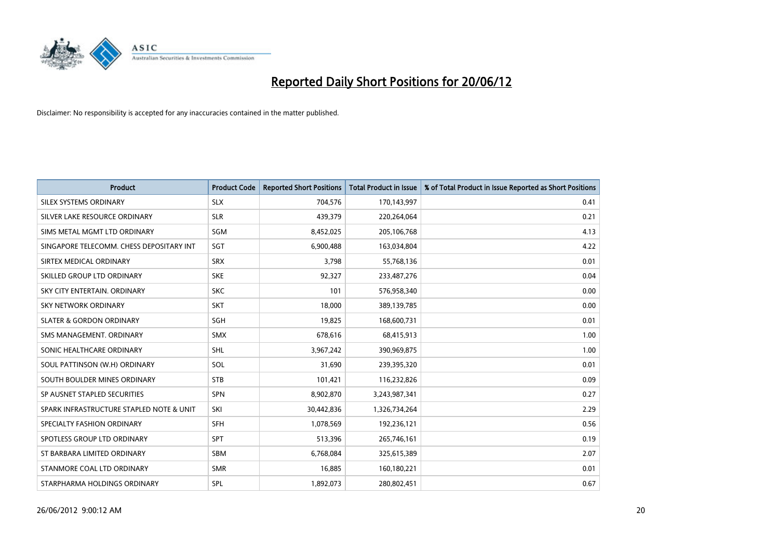

| <b>Product</b>                           | <b>Product Code</b> | <b>Reported Short Positions</b> | <b>Total Product in Issue</b> | % of Total Product in Issue Reported as Short Positions |
|------------------------------------------|---------------------|---------------------------------|-------------------------------|---------------------------------------------------------|
| SILEX SYSTEMS ORDINARY                   | <b>SLX</b>          | 704,576                         | 170,143,997                   | 0.41                                                    |
| SILVER LAKE RESOURCE ORDINARY            | <b>SLR</b>          | 439,379                         | 220,264,064                   | 0.21                                                    |
| SIMS METAL MGMT LTD ORDINARY             | SGM                 | 8,452,025                       | 205,106,768                   | 4.13                                                    |
| SINGAPORE TELECOMM. CHESS DEPOSITARY INT | SGT                 | 6,900,488                       | 163,034,804                   | 4.22                                                    |
| SIRTEX MEDICAL ORDINARY                  | <b>SRX</b>          | 3,798                           | 55,768,136                    | 0.01                                                    |
| SKILLED GROUP LTD ORDINARY               | <b>SKE</b>          | 92,327                          | 233,487,276                   | 0.04                                                    |
| SKY CITY ENTERTAIN, ORDINARY             | <b>SKC</b>          | 101                             | 576,958,340                   | 0.00                                                    |
| SKY NETWORK ORDINARY                     | <b>SKT</b>          | 18,000                          | 389,139,785                   | 0.00                                                    |
| <b>SLATER &amp; GORDON ORDINARY</b>      | SGH                 | 19,825                          | 168,600,731                   | 0.01                                                    |
| SMS MANAGEMENT, ORDINARY                 | <b>SMX</b>          | 678,616                         | 68,415,913                    | 1.00                                                    |
| SONIC HEALTHCARE ORDINARY                | SHL                 | 3,967,242                       | 390,969,875                   | 1.00                                                    |
| SOUL PATTINSON (W.H) ORDINARY            | SOL                 | 31,690                          | 239,395,320                   | 0.01                                                    |
| SOUTH BOULDER MINES ORDINARY             | <b>STB</b>          | 101,421                         | 116,232,826                   | 0.09                                                    |
| SP AUSNET STAPLED SECURITIES             | <b>SPN</b>          | 8,902,870                       | 3,243,987,341                 | 0.27                                                    |
| SPARK INFRASTRUCTURE STAPLED NOTE & UNIT | SKI                 | 30,442,836                      | 1,326,734,264                 | 2.29                                                    |
| SPECIALTY FASHION ORDINARY               | SFH                 | 1,078,569                       | 192,236,121                   | 0.56                                                    |
| SPOTLESS GROUP LTD ORDINARY              | <b>SPT</b>          | 513,396                         | 265,746,161                   | 0.19                                                    |
| ST BARBARA LIMITED ORDINARY              | <b>SBM</b>          | 6,768,084                       | 325,615,389                   | 2.07                                                    |
| STANMORE COAL LTD ORDINARY               | <b>SMR</b>          | 16,885                          | 160,180,221                   | 0.01                                                    |
| STARPHARMA HOLDINGS ORDINARY             | SPL                 | 1,892,073                       | 280,802,451                   | 0.67                                                    |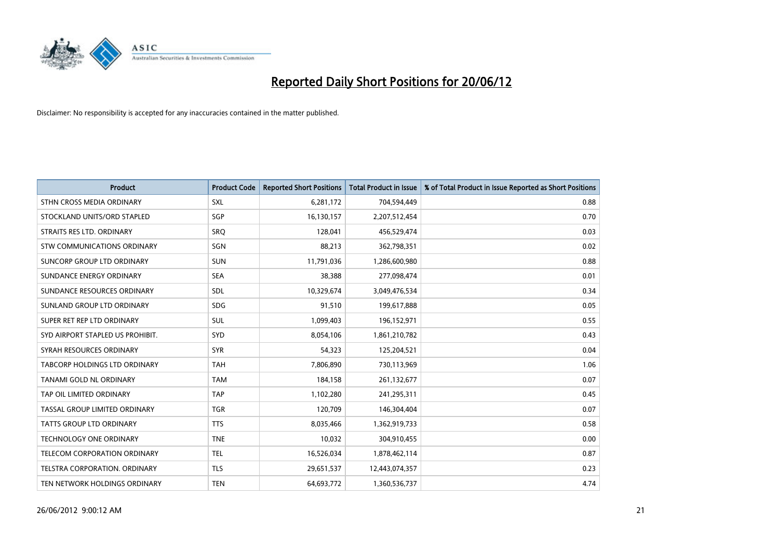

| <b>Product</b>                    | <b>Product Code</b> | <b>Reported Short Positions</b> | <b>Total Product in Issue</b> | % of Total Product in Issue Reported as Short Positions |
|-----------------------------------|---------------------|---------------------------------|-------------------------------|---------------------------------------------------------|
| STHN CROSS MEDIA ORDINARY         | <b>SXL</b>          | 6,281,172                       | 704,594,449                   | 0.88                                                    |
| STOCKLAND UNITS/ORD STAPLED       | SGP                 | 16,130,157                      | 2,207,512,454                 | 0.70                                                    |
| STRAITS RES LTD. ORDINARY         | <b>SRQ</b>          | 128,041                         | 456,529,474                   | 0.03                                                    |
| STW COMMUNICATIONS ORDINARY       | <b>SGN</b>          | 88,213                          | 362,798,351                   | 0.02                                                    |
| <b>SUNCORP GROUP LTD ORDINARY</b> | <b>SUN</b>          | 11,791,036                      | 1,286,600,980                 | 0.88                                                    |
| SUNDANCE ENERGY ORDINARY          | <b>SEA</b>          | 38,388                          | 277,098,474                   | 0.01                                                    |
| SUNDANCE RESOURCES ORDINARY       | <b>SDL</b>          | 10,329,674                      | 3,049,476,534                 | 0.34                                                    |
| SUNLAND GROUP LTD ORDINARY        | <b>SDG</b>          | 91,510                          | 199,617,888                   | 0.05                                                    |
| SUPER RET REP LTD ORDINARY        | <b>SUL</b>          | 1,099,403                       | 196,152,971                   | 0.55                                                    |
| SYD AIRPORT STAPLED US PROHIBIT.  | SYD                 | 8,054,106                       | 1,861,210,782                 | 0.43                                                    |
| SYRAH RESOURCES ORDINARY          | <b>SYR</b>          | 54,323                          | 125,204,521                   | 0.04                                                    |
| TABCORP HOLDINGS LTD ORDINARY     | <b>TAH</b>          | 7,806,890                       | 730,113,969                   | 1.06                                                    |
| TANAMI GOLD NL ORDINARY           | <b>TAM</b>          | 184.158                         | 261,132,677                   | 0.07                                                    |
| TAP OIL LIMITED ORDINARY          | <b>TAP</b>          | 1,102,280                       | 241,295,311                   | 0.45                                                    |
| TASSAL GROUP LIMITED ORDINARY     | <b>TGR</b>          | 120,709                         | 146,304,404                   | 0.07                                                    |
| <b>TATTS GROUP LTD ORDINARY</b>   | <b>TTS</b>          | 8,035,466                       | 1,362,919,733                 | 0.58                                                    |
| <b>TECHNOLOGY ONE ORDINARY</b>    | <b>TNE</b>          | 10,032                          | 304,910,455                   | 0.00                                                    |
| TELECOM CORPORATION ORDINARY      | <b>TEL</b>          | 16,526,034                      | 1,878,462,114                 | 0.87                                                    |
| TELSTRA CORPORATION, ORDINARY     | <b>TLS</b>          | 29,651,537                      | 12,443,074,357                | 0.23                                                    |
| TEN NETWORK HOLDINGS ORDINARY     | <b>TEN</b>          | 64,693,772                      | 1,360,536,737                 | 4.74                                                    |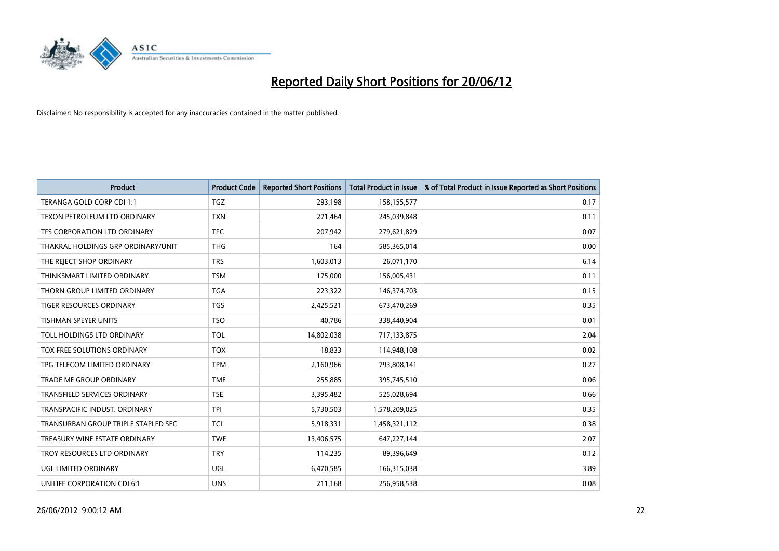

| <b>Product</b>                       | <b>Product Code</b> | <b>Reported Short Positions</b> | <b>Total Product in Issue</b> | % of Total Product in Issue Reported as Short Positions |
|--------------------------------------|---------------------|---------------------------------|-------------------------------|---------------------------------------------------------|
| TERANGA GOLD CORP CDI 1:1            | <b>TGZ</b>          | 293,198                         | 158,155,577                   | 0.17                                                    |
| TEXON PETROLEUM LTD ORDINARY         | <b>TXN</b>          | 271,464                         | 245,039,848                   | 0.11                                                    |
| TFS CORPORATION LTD ORDINARY         | <b>TFC</b>          | 207,942                         | 279,621,829                   | 0.07                                                    |
| THAKRAL HOLDINGS GRP ORDINARY/UNIT   | <b>THG</b>          | 164                             | 585,365,014                   | 0.00                                                    |
| THE REJECT SHOP ORDINARY             | <b>TRS</b>          | 1,603,013                       | 26,071,170                    | 6.14                                                    |
| THINKSMART LIMITED ORDINARY          | <b>TSM</b>          | 175,000                         | 156,005,431                   | 0.11                                                    |
| THORN GROUP LIMITED ORDINARY         | <b>TGA</b>          | 223,322                         | 146,374,703                   | 0.15                                                    |
| <b>TIGER RESOURCES ORDINARY</b>      | <b>TGS</b>          | 2,425,521                       | 673,470,269                   | 0.35                                                    |
| <b>TISHMAN SPEYER UNITS</b>          | <b>TSO</b>          | 40,786                          | 338,440,904                   | 0.01                                                    |
| TOLL HOLDINGS LTD ORDINARY           | <b>TOL</b>          | 14,802,038                      | 717,133,875                   | 2.04                                                    |
| TOX FREE SOLUTIONS ORDINARY          | <b>TOX</b>          | 18,833                          | 114,948,108                   | 0.02                                                    |
| TPG TELECOM LIMITED ORDINARY         | <b>TPM</b>          | 2,160,966                       | 793,808,141                   | 0.27                                                    |
| <b>TRADE ME GROUP ORDINARY</b>       | <b>TME</b>          | 255,885                         | 395,745,510                   | 0.06                                                    |
| <b>TRANSFIELD SERVICES ORDINARY</b>  | <b>TSE</b>          | 3,395,482                       | 525,028,694                   | 0.66                                                    |
| TRANSPACIFIC INDUST. ORDINARY        | <b>TPI</b>          | 5,730,503                       | 1,578,209,025                 | 0.35                                                    |
| TRANSURBAN GROUP TRIPLE STAPLED SEC. | <b>TCL</b>          | 5,918,331                       | 1,458,321,112                 | 0.38                                                    |
| TREASURY WINE ESTATE ORDINARY        | <b>TWE</b>          | 13,406,575                      | 647,227,144                   | 2.07                                                    |
| TROY RESOURCES LTD ORDINARY          | <b>TRY</b>          | 114,235                         | 89,396,649                    | 0.12                                                    |
| <b>UGL LIMITED ORDINARY</b>          | UGL                 | 6,470,585                       | 166,315,038                   | 3.89                                                    |
| UNILIFE CORPORATION CDI 6:1          | <b>UNS</b>          | 211,168                         | 256,958,538                   | 0.08                                                    |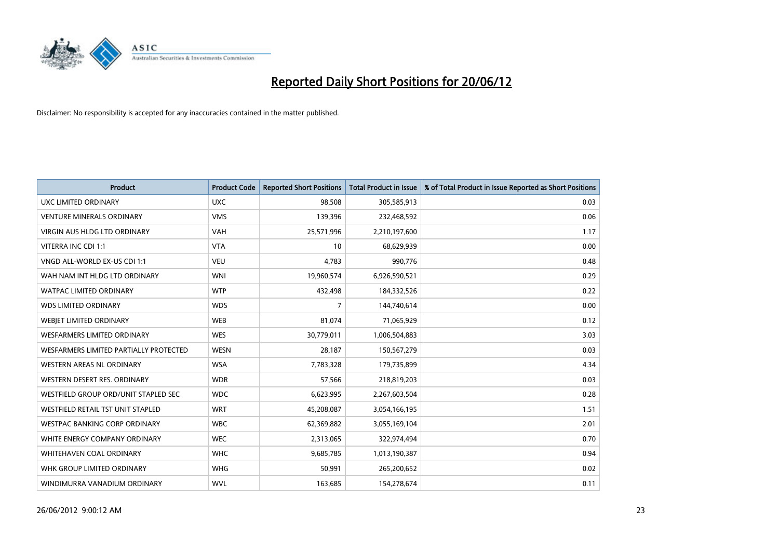

| <b>Product</b>                         | <b>Product Code</b> | <b>Reported Short Positions</b> | <b>Total Product in Issue</b> | % of Total Product in Issue Reported as Short Positions |
|----------------------------------------|---------------------|---------------------------------|-------------------------------|---------------------------------------------------------|
| UXC LIMITED ORDINARY                   | <b>UXC</b>          | 98,508                          | 305,585,913                   | 0.03                                                    |
| <b>VENTURE MINERALS ORDINARY</b>       | <b>VMS</b>          | 139,396                         | 232,468,592                   | 0.06                                                    |
| VIRGIN AUS HLDG LTD ORDINARY           | VAH                 | 25,571,996                      | 2,210,197,600                 | 1.17                                                    |
| VITERRA INC CDI 1:1                    | <b>VTA</b>          | 10                              | 68,629,939                    | 0.00                                                    |
| VNGD ALL-WORLD EX-US CDI 1:1           | <b>VEU</b>          | 4,783                           | 990,776                       | 0.48                                                    |
| WAH NAM INT HLDG LTD ORDINARY          | <b>WNI</b>          | 19,960,574                      | 6,926,590,521                 | 0.29                                                    |
| <b>WATPAC LIMITED ORDINARY</b>         | <b>WTP</b>          | 432,498                         | 184,332,526                   | 0.22                                                    |
| <b>WDS LIMITED ORDINARY</b>            | <b>WDS</b>          | $\overline{7}$                  | 144,740,614                   | 0.00                                                    |
| WEBIET LIMITED ORDINARY                | <b>WEB</b>          | 81,074                          | 71,065,929                    | 0.12                                                    |
| <b>WESFARMERS LIMITED ORDINARY</b>     | <b>WES</b>          | 30,779,011                      | 1,006,504,883                 | 3.03                                                    |
| WESFARMERS LIMITED PARTIALLY PROTECTED | <b>WESN</b>         | 28,187                          | 150,567,279                   | 0.03                                                    |
| WESTERN AREAS NL ORDINARY              | <b>WSA</b>          | 7,783,328                       | 179,735,899                   | 4.34                                                    |
| WESTERN DESERT RES. ORDINARY           | <b>WDR</b>          | 57,566                          | 218,819,203                   | 0.03                                                    |
| WESTFIELD GROUP ORD/UNIT STAPLED SEC   | <b>WDC</b>          | 6,623,995                       | 2,267,603,504                 | 0.28                                                    |
| WESTFIELD RETAIL TST UNIT STAPLED      | <b>WRT</b>          | 45,208,087                      | 3,054,166,195                 | 1.51                                                    |
| <b>WESTPAC BANKING CORP ORDINARY</b>   | <b>WBC</b>          | 62,369,882                      | 3,055,169,104                 | 2.01                                                    |
| WHITE ENERGY COMPANY ORDINARY          | <b>WEC</b>          | 2,313,065                       | 322,974,494                   | 0.70                                                    |
| WHITEHAVEN COAL ORDINARY               | <b>WHC</b>          | 9,685,785                       | 1,013,190,387                 | 0.94                                                    |
| WHK GROUP LIMITED ORDINARY             | <b>WHG</b>          | 50,991                          | 265,200,652                   | 0.02                                                    |
| WINDIMURRA VANADIUM ORDINARY           | <b>WVL</b>          | 163,685                         | 154,278,674                   | 0.11                                                    |